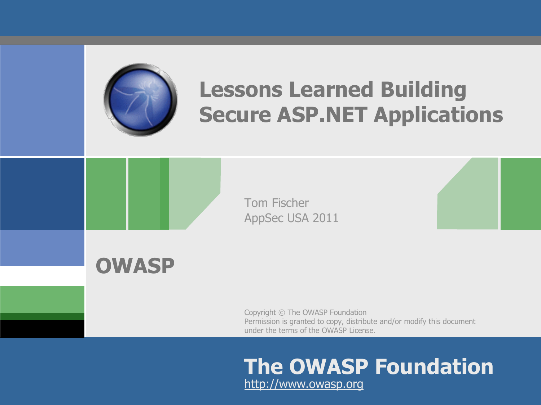

# **Lessons Learned Building Secure ASP.NET Applications**



Tom Fischer AppSec USA 2011

**OWASP**

Copyright © The OWASP Foundation Permission is granted to copy, distribute and/or modify this document under the terms of the OWASP License.

#### **The OWASP Foundation** http://www.owasp.org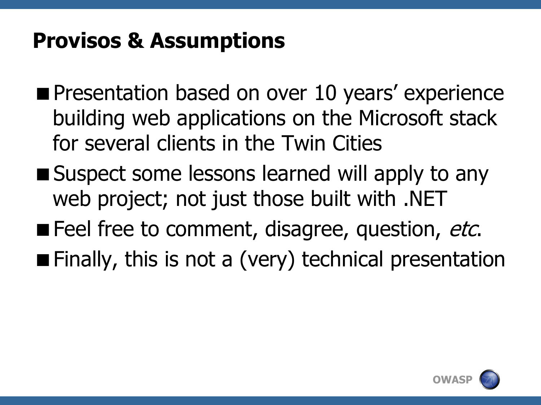#### **Provisos & Assumptions**

- **Presentation based on over 10 years' experience** building web applications on the Microsoft stack for several clients in the Twin Cities
- Suspect some lessons learned will apply to any web project; not just those built with .NET
- Feel free to comment, disagree, question, etc.
- **Finally, this is not a (very) technical presentation**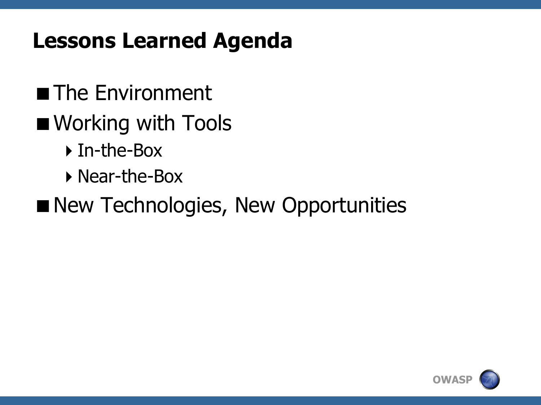#### **Lessons Learned Agenda**

- **The Environment**
- Working with Tools
	- ▶ In-the-Box
	- ▶ Near-the-Box
- New Technologies, New Opportunities

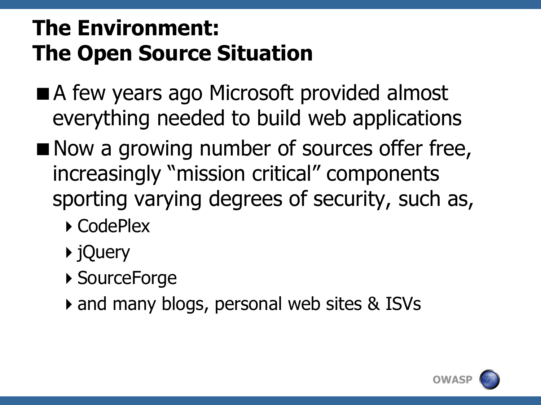# **The Environment: The Open Source Situation**

- A few years ago Microsoft provided almost everything needed to build web applications
- Now a growing number of sources offer free, increasingly "mission critical" components sporting varying degrees of security, such as,
	- ▶ CodePlex
	- ▶ jQuery
	- ▶ SourceForge
	- and many blogs, personal web sites & ISVs

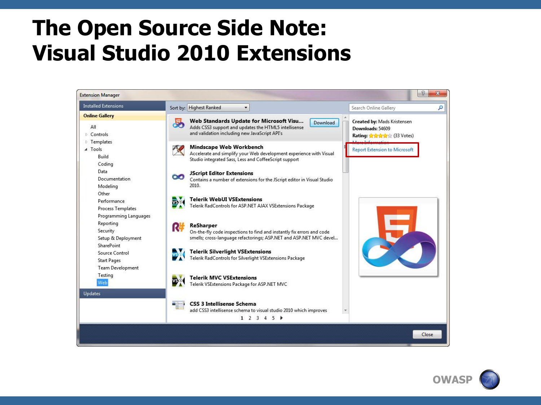#### **The Open Source Side Note: Visual Studio 2010 Extensions**



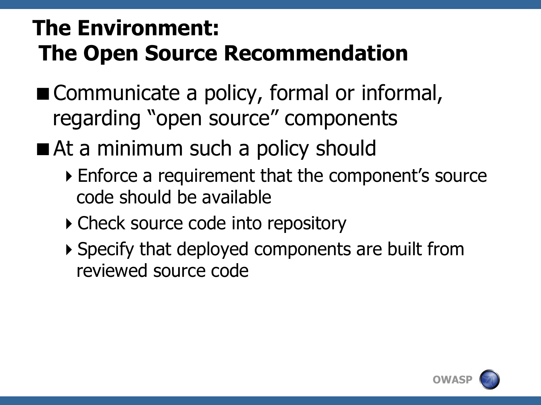# **The Environment: The Open Source Recommendation**

- Communicate a policy, formal or informal, regarding "open source" components
- At a minimum such a policy should
	- ▶ Enforce a requirement that the component's source code should be available
	- Check source code into repository
	- ▶ Specify that deployed components are built from reviewed source code

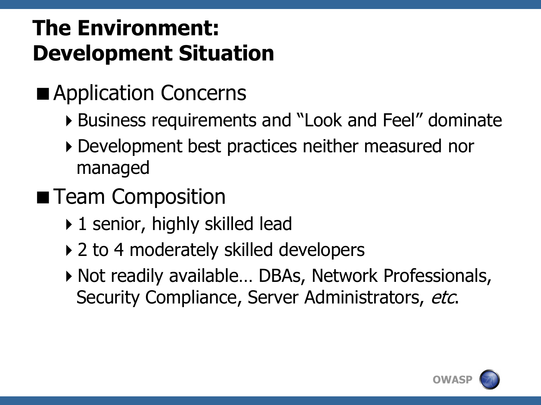# **The Environment: Development Situation**

- Application Concerns
	- Business requirements and "Look and Feel" dominate
	- Development best practices neither measured nor managed
- **Team Composition** 
	- ▶ 1 senior, highly skilled lead
	- ▶ 2 to 4 moderately skilled developers
	- ▶ Not readily available... DBAs, Network Professionals, Security Compliance, Server Administrators, etc.

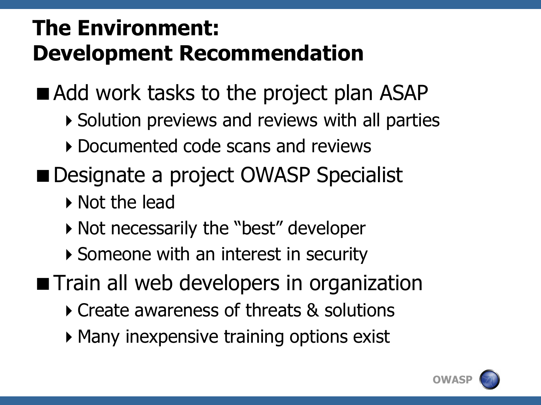# **The Environment: Development Recommendation**

■ Add work tasks to the project plan ASAP

- ▶ Solution previews and reviews with all parties
- ▶ Documented code scans and reviews
- Designate a project OWASP Specialist
	- ▶ Not the lead
	- ▶ Not necessarily the "best" developer
	- ▶ Someone with an interest in security
- **The Train all web developers in organization** 
	- Create awareness of threats & solutions
	- Many inexpensive training options exist

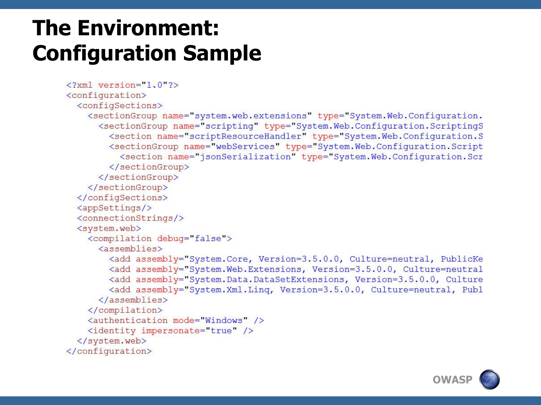# **The Environment: Configuration Sample**

```
\langle 2 \times m \rangle version="1.0"?>
<configuration>
  <configSections>
    <sectionGroup name="system.web.extensions" type="System.Web.Configuration.
      <sectionGroup name="scripting" type="System.Web.Configuration.ScriptingS
        <section name="scriptResourceHandler" type="System.Web.Configuration.S
        <sectionGroup name="webServices" type="System.Web.Configuration.Script
          <section name="jsonSerialization" type="System.Web.Configuration.Scr
        </sectionGroup>
      </sectionGroup>
    </sectionGroup>
  </configSections>
  <appSettings/>
  <connectionStrings/>
  <system.web>
    <compilation debug="false">
      <assemblies>
        <add assembly="System.Core, Version=3.5.0.0, Culture=neutral, PublicKe
        <add assembly="System.Web.Extensions, Version=3.5.0.0, Culture=neutral
        <add assembly="System.Data.DataSetExtensions, Version=3.5.0.0, Culture
        <add assembly="System.Xml.Linq, Version=3.5.0.0, Culture=neutral, Publ
      \langle/assemblies>
    </compilation>
    <authentication mode="Windows" />
    <identity impersonate="true" />
  </system.web>
</configuration>
```
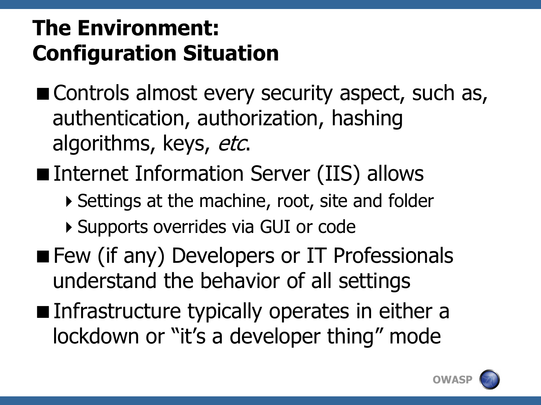# **The Environment: Configuration Situation**

- Controls almost every security aspect, such as, authentication, authorization, hashing algorithms, keys, etc.
- Internet Information Server (IIS) allows
	- ▶ Settings at the machine, root, site and folder
	- ▶ Supports overrides via GUI or code
- Few (if any) Developers or IT Professionals understand the behavior of all settings
- Infrastructure typically operates in either a lockdown or "it's a developer thing" mode

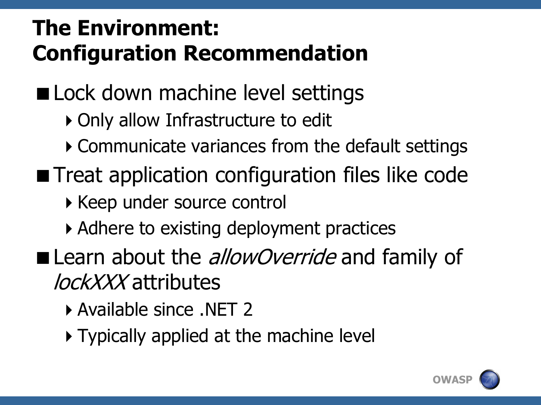# **The Environment: Configuration Recommendation**

■ Lock down machine level settings

- ▶ Only allow Infrastructure to edit
- Communicate variances from the default settings
- **Theat application configuration files like code** 
	- ▶ Keep under source control
	- Adhere to existing deployment practices
- Learn about the *allowOverride* and family of lockXXX attributes
	- Available since .NET 2
	- ▶ Typically applied at the machine level

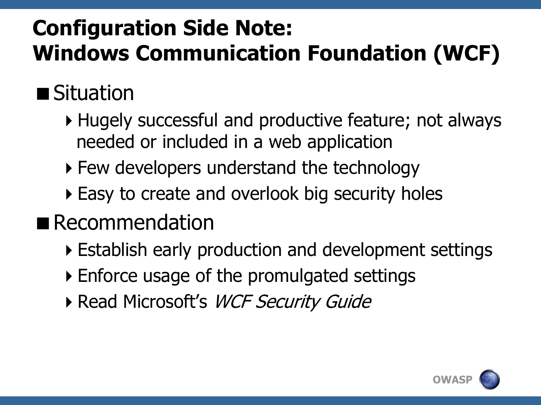# **Configuration Side Note: Windows Communication Foundation (WCF)**

# ■ Situation

- Hugely successful and productive feature; not always needed or included in a web application
- Few developers understand the technology
- ▶ Easy to create and overlook big security holes
- Recommendation
	- Establish early production and development settings
	- Enforce usage of the promulgated settings
	- Read Microsoft's WCF Security Guide

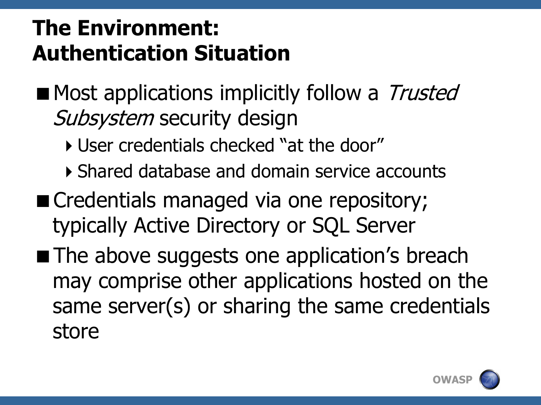# **The Environment: Authentication Situation**

- Most applications implicitly follow a Trusted Subsystem security design
	- User credentials checked "at the door"
	- Shared database and domain service accounts
- Credentials managed via one repository; typically Active Directory or SQL Server
- **The above suggests one application's breach** may comprise other applications hosted on the same server(s) or sharing the same credentials store

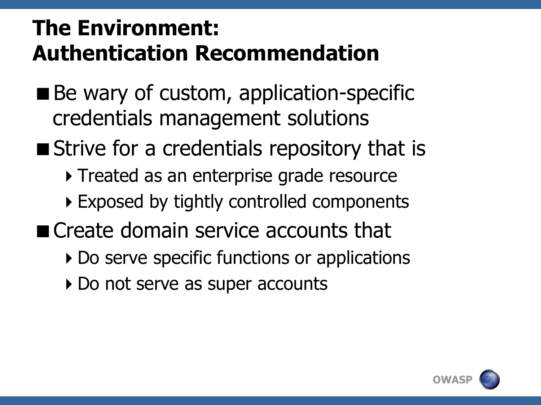# **The Environment: Authentication Recommendation**

- Be wary of custom, application-specific credentials management solutions
- Strive for a credentials repository that is
	- ▶ Treated as an enterprise grade resource
	- ▶ Exposed by tightly controlled components
- Create domain service accounts that
	- Do serve specific functions or applications
	- ▶ Do not serve as super accounts

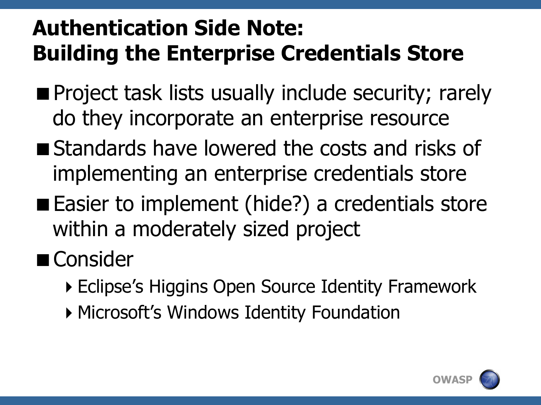# **Authentication Side Note: Building the Enterprise Credentials Store**

- **Project task lists usually include security; rarely** do they incorporate an enterprise resource
- **Standards have lowered the costs and risks of** implementing an enterprise credentials store
- Easier to implement (hide?) a credentials store within a moderately sized project
- Consider
	- ▶ Eclipse's Higgins Open Source Identity Framework
	- Microsoft's Windows Identity Foundation

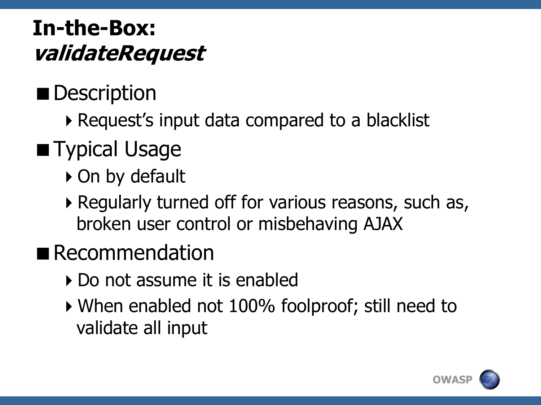#### **In-the-Box: validateRequest**

#### Description

▶ Request's input data compared to a blacklist

# **Typical Usage**

- ▶ On by default
- ▶ Regularly turned off for various reasons, such as, broken user control or misbehaving AJAX
- **Recommendation** 
	- ▶ Do not assume it is enabled
	- When enabled not 100% foolproof; still need to validate all input

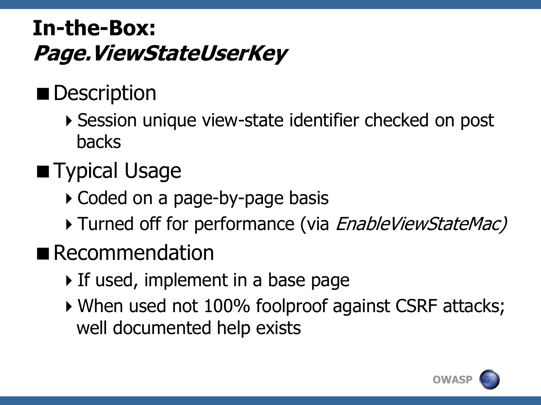#### **In-the-Box: Page.ViewStateUserKey**

# **Description**

▶ Session unique view-state identifier checked on post backs

# **Typical Usage**

- ▶ Coded on a page-by-page basis
- Turned off for performance (via *EnableViewStateMac)*
- Recommendation
	- If used, implement in a base page
	- When used not 100% foolproof against CSRF attacks; well documented help exists

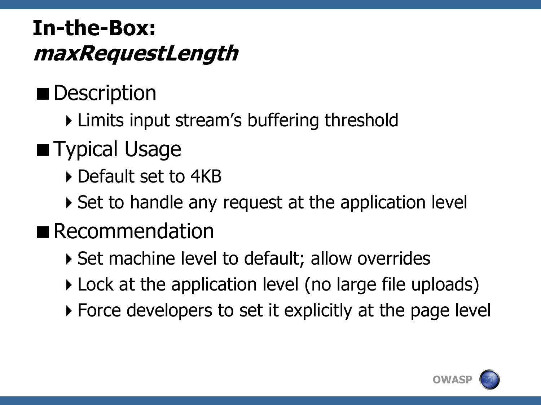#### **In-the-Box: maxRequestLength**

### Description

Limits input stream's buffering threshold

#### **Typical Usage**

- ▶ Default set to 4KB
- ▶ Set to handle any request at the application level

#### Recommendation

- ▶ Set machine level to default; allow overrides
- Lock at the application level (no large file uploads)
- ▶ Force developers to set it explicitly at the page level

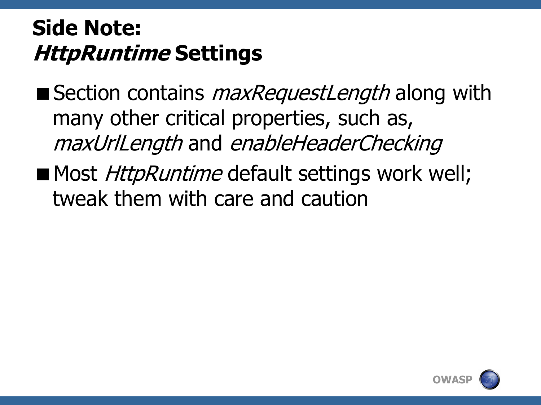#### **Side Note: HttpRuntime Settings**

- Section contains *maxRequestLength* along with many other critical properties, such as, maxUrlLength and enableHeaderChecking
- Most *HttpRuntime* default settings work well; tweak them with care and caution

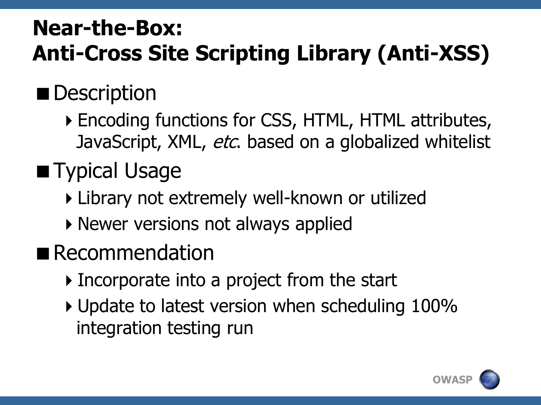# **Near-the-Box: Anti-Cross Site Scripting Library (Anti-XSS)**

# **Description**

Encoding functions for CSS, HTML, HTML attributes, JavaScript, XML, etc. based on a globalized whitelist

# **Typical Usage**

- Library not extremely well-known or utilized
- ▶ Newer versions not always applied
- Recommendation
	- Incorporate into a project from the start
	- ▶ Update to latest version when scheduling 100% integration testing run

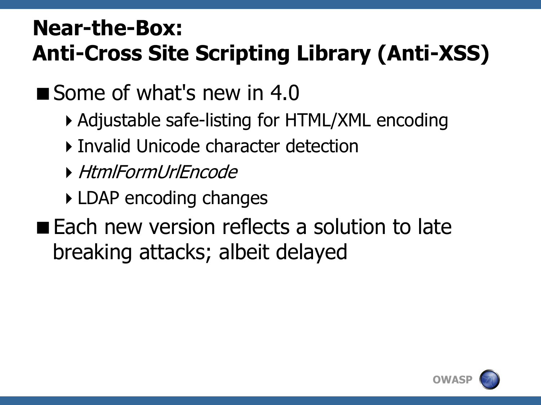# **Near-the-Box: Anti-Cross Site Scripting Library (Anti-XSS)**

Some of what's new in 4.0

- Adjustable safe-listing for HTML/XML encoding
- Invalid Unicode character detection
- HtmlFormUrlEncode
- **LDAP** encoding changes
- **Each new version reflects a solution to late** breaking attacks; albeit delayed

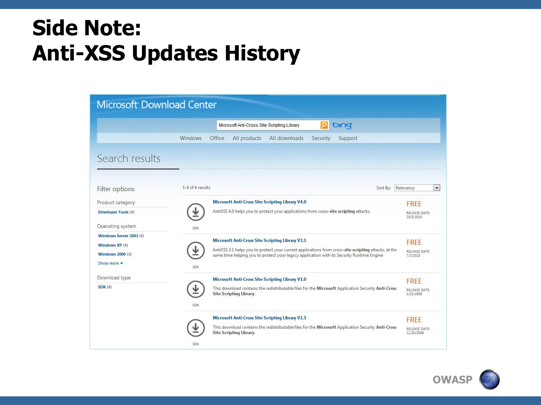#### **Side Note: Anti-XSS Updates History**

#### Microsoft Download Center bing  $\Omega$ Microsoft Anti-Cross Site Scripting Library Windows Office All products All downloads Security Support Search results 1-4 of 4 results Sort By: Relevancy  $\vert \cdot \vert$ Filter options **Microsoft Anti-Cross Site Scripting Library V4.0** Product category **FREE** ↓ AntiXSS 4.0 helps you to protect your applications from cross-site scripting attacks. **Developer Tools (4)** RELEASE DATE: 10/5/2010 Operating system SDK Windows Server 2003 (4) Microsoft Anti-Cross Site Scripting Library V3.1 **FREE** Windows XP (4) ⊻ AntiXSS 3.1 helps you to protect your current applications from cross-site scripting attacks, at the RELEASE DATE: **Windows 2000 (3)** same time helping you to protect your legacy application with its Security Runtime Engine 7/2/2010 Show more -SDK Download type Microsoft Anti-Cross Site Scripting Library V1.0 **FREE** ↓  $SDK(4)$ This download contains the redistributable files for the Microsoft Application Security Anti-Cross RELEASE DATE: **Site Scripting Library** 3/23/2006 SDK **Microsoft Anti-Cross Site Scripting Library V1.5** FREE ↓ This download contains the redistributable files for the Microsoft Application Security Anti-Cross RELEASE DATE: **Site Scripting Library** 11/20/2006 SDK

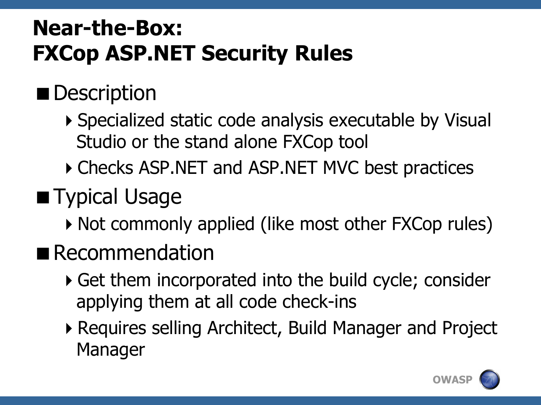# **Near-the-Box: FXCop ASP.NET Security Rules**

# Description

- ▶ Specialized static code analysis executable by Visual Studio or the stand alone FXCop tool
- ▶ Checks ASP.NET and ASP.NET MVC best practices
- Typical Usage
	- ▶ Not commonly applied (like most other FXCop rules)
- Recommendation
	- Get them incorporated into the build cycle; consider applying them at all code check-ins
	- Requires selling Architect, Build Manager and Project Manager

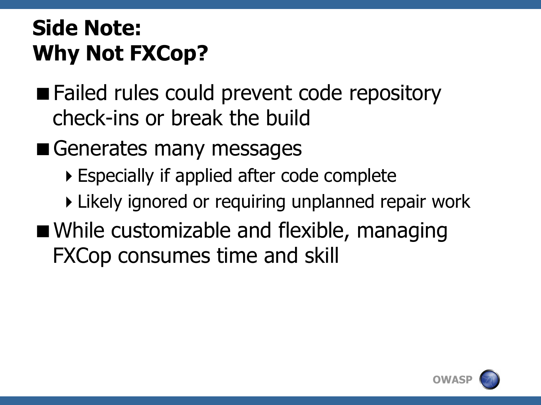# **Side Note: Why Not FXCop?**

■ Failed rules could prevent code repository check-ins or break the build

Generates many messages

Especially if applied after code complete

▶ Likely ignored or requiring unplanned repair work

■ While customizable and flexible, managing FXCop consumes time and skill

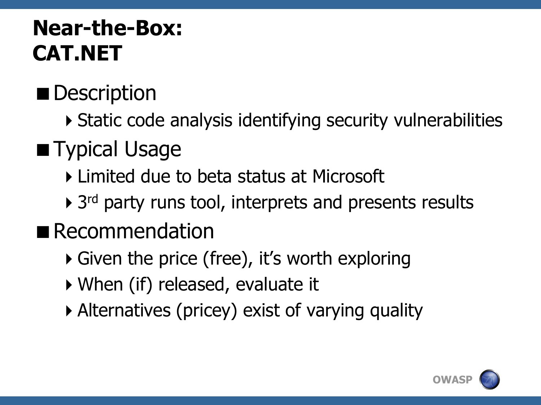# **Near-the-Box: CAT.NET**

#### Description

Static code analysis identifying security vulnerabilities

# **Typical Usage**

- Limited due to beta status at Microsoft
- ▶ 3<sup>rd</sup> party runs tool, interprets and presents results

#### Recommendation

- ▶ Given the price (free), it's worth exploring
- When (if) released, evaluate it
- Alternatives (pricey) exist of varying quality

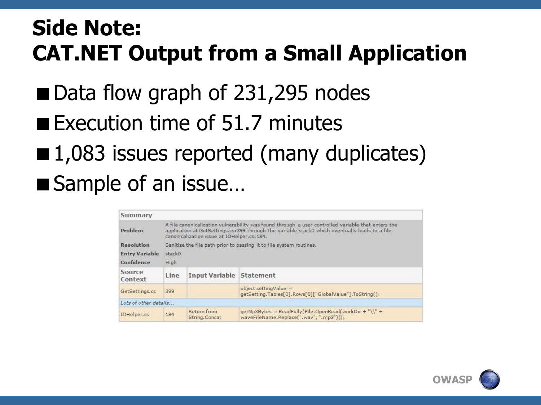#### **Side Note: CAT.NET Output from a Small Application**

- Data flow graph of 231,295 nodes
- Execution time of  $51.7$  minutes
- 1,083 issues reported (many duplicates) ■ Sample of an issue...

| Summary               |                                                                                                                                                                                                                                                      |                              |                                                                                                   |
|-----------------------|------------------------------------------------------------------------------------------------------------------------------------------------------------------------------------------------------------------------------------------------------|------------------------------|---------------------------------------------------------------------------------------------------|
| Problem               | A file canonicalization vulnerability was found through a user controlled variable that enters the<br>application at GetSettings.cs: 399 through the variable stack0 which eventually leads to a file<br>canonicalization issue at IOHelper.cs: 184. |                              |                                                                                                   |
| <b>Resolution</b>     | Sanitize the file path prior to passing it to file system routines.                                                                                                                                                                                  |                              |                                                                                                   |
| <b>Entry Variable</b> | stack0                                                                                                                                                                                                                                               |                              |                                                                                                   |
| Confidence            | High                                                                                                                                                                                                                                                 |                              |                                                                                                   |
| Source<br>Context     | Line                                                                                                                                                                                                                                                 | <b>Input Variable</b>        | <b>Statement</b>                                                                                  |
| GetSettings.cs        | 399                                                                                                                                                                                                                                                  |                              | object settingValue =<br>getSetting.Tables[0].Rows[0]["GlobalValue"].ToString();                  |
| Lots of other details |                                                                                                                                                                                                                                                      |                              |                                                                                                   |
| IOHelper.cs           | 184                                                                                                                                                                                                                                                  | Return from<br>String.Concat | qetMp3Bytes = ReadFully(File.OpenRead(workDir + "\\" +<br>waveFileName.Replace(".wav", ".mp3"))); |

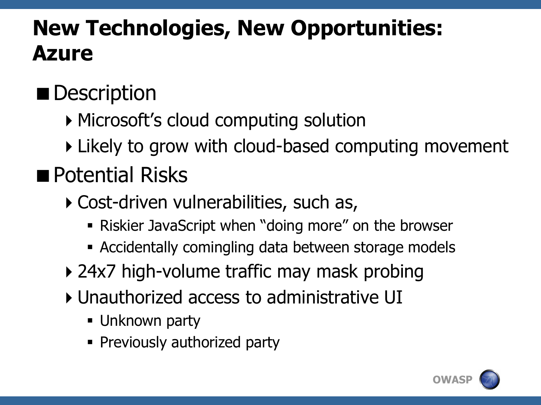# **New Technologies, New Opportunities: Azure**

# **Description**

- ▶ Microsoft's cloud computing solution
- ▶ Likely to grow with cloud-based computing movement

# **Potential Risks**

- ▶ Cost-driven vulnerabilities, such as,
	- Riskier JavaScript when "doing more" on the browser
	- Accidentally comingling data between storage models
- ▶ 24x7 high-volume traffic may mask probing
- Unauthorized access to administrative UI
	- **Unknown party**
	- **Previously authorized party**

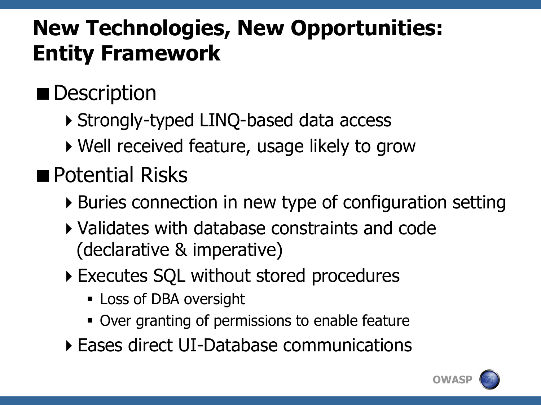# **New Technologies, New Opportunities: Entity Framework**

# Description

- ▶ Strongly-typed LINQ-based data access
- ▶ Well received feature, usage likely to grow

# **Potential Risks**

- Buries connection in new type of configuration setting
- Validates with database constraints and code (declarative & imperative)
- Executes SQL without stored procedures
	- **Loss of DBA oversight**
	- Over granting of permissions to enable feature
- Eases direct UI-Database communications

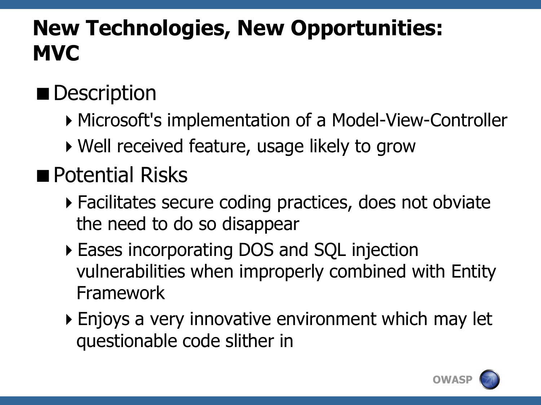### **New Technologies, New Opportunities: MVC**

# **Description**

- ▶ Microsoft's implementation of a Model-View-Controller
- ▶ Well received feature, usage likely to grow

#### **Potential Risks**

- Facilitates secure coding practices, does not obviate the need to do so disappear
- Eases incorporating DOS and SQL injection vulnerabilities when improperly combined with Entity Framework
- Enjoys a very innovative environment which may let questionable code slither in